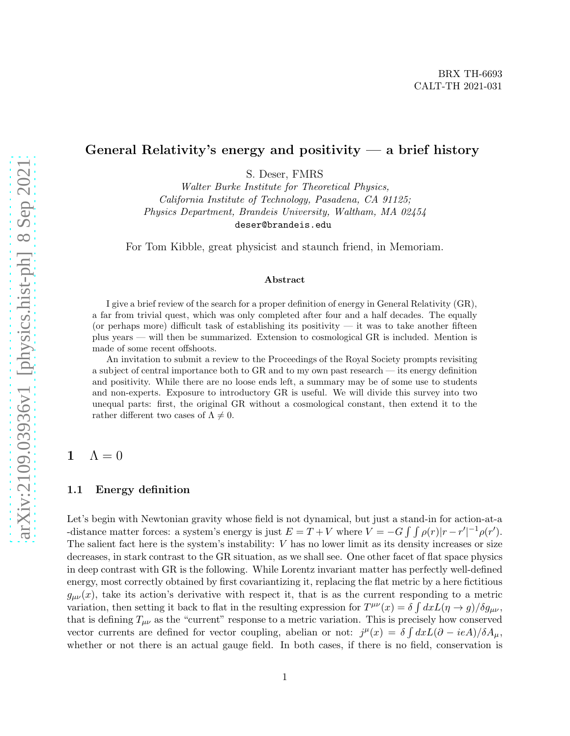### General Relativity's energy and positivity  $-$  a brief history

S. Deser, FMRS

Walter Burke Institute for Theoretical Physics, California Institute of Technology, Pasadena, CA 91125; Physics Department, Brandeis University, Waltham, MA 02454 deser@brandeis.edu

For Tom Kibble, great physicist and staunch friend, in Memoriam.

#### Abstract

I give a brief review of the search for a proper definition of energy in General Relativity (GR), a far from trivial quest, which was only completed after four and a half decades. The equally (or perhaps more) difficult task of establishing its positivity  $-$  it was to take another fifteen plus years — will then be summarized. Extension to cosmological GR is included. Mention is made of some recent offshoots.

An invitation to submit a review to the Proceedings of the Royal Society prompts revisiting a subject of central importance both to GR and to my own past research — its energy definition and positivity. While there are no loose ends left, a summary may be of some use to students and non-experts. Exposure to introductory GR is useful. We will divide this survey into two unequal parts: first, the original GR without a cosmological constant, then extend it to the rather different two cases of  $\Lambda \neq 0$ .

### 1  $\Lambda = 0$

#### 1.1 Energy definition

Let's begin with Newtonian gravity whose field is not dynamical, but just a stand-in for action-at-a -distance matter forces: a system's energy is just  $E = T + V$  where  $V = -G \int \int \rho(r)|r - r'|^{-1} \rho(r')$ . The salient fact here is the system's instability: V has no lower limit as its density increases or size decreases, in stark contrast to the GR situation, as we shall see. One other facet of flat space physics in deep contrast with GR is the following. While Lorentz invariant matter has perfectly well-defined energy, most correctly obtained by first covariantizing it, replacing the flat metric by a here fictitious  $g_{\mu\nu}(x)$ , take its action's derivative with respect it, that is as the current responding to a metric variation, then setting it back to flat in the resulting expression for  $T^{\mu\nu}(x) = \delta \int dx L(\eta \to g)/\delta g_{\mu\nu}$ , that is defining  $T_{\mu\nu}$  as the "current" response to a metric variation. This is precisely how conserved vector currents are defined for vector coupling, abelian or not:  $j^{\mu}(x) = \delta \int dx L(\partial - ieA)/\delta A_{\mu}$ , whether or not there is an actual gauge field. In both cases, if there is no field, conservation is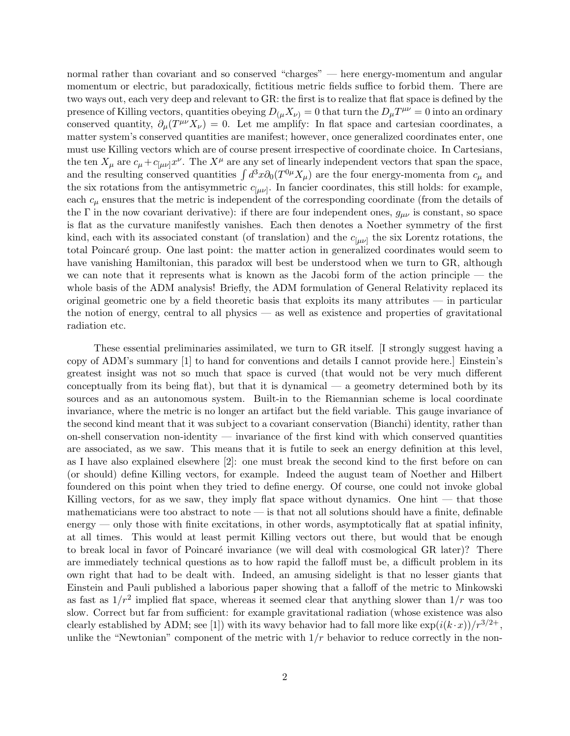normal rather than covariant and so conserved "charges" — here energy-momentum and angular momentum or electric, but paradoxically, fictitious metric fields suffice to forbid them. There are two ways out, each very deep and relevant to GR: the first is to realize that flat space is defined by the presence of Killing vectors, quantities obeying  $D_{(\mu}X_{\nu)} = 0$  that turn the  $D_{\mu}T^{\mu\nu} = 0$  into an ordinary conserved quantity,  $\partial_{\mu}(T^{\mu\nu}X_{\nu})=0$ . Let me amplify: In flat space and cartesian coordinates, a matter system's conserved quantities are manifest; however, once generalized coordinates enter, one must use Killing vectors which are of course present irrespective of coordinate choice. In Cartesians, the ten  $X_\mu$  are  $c_\mu + c_{[\mu\nu]}x^\nu$ . The  $X^\mu$  are any set of linearly independent vectors that span the space, and the resulting conserved quantities  $\int d^3x \partial_0(T^{0\mu}X_\mu)$  are the four energy-momenta from  $c_\mu$  and the six rotations from the antisymmetric  $c_{[\mu\nu]}$ . In fancier coordinates, this still holds: for example, each  $c_{\mu}$  ensures that the metric is independent of the corresponding coordinate (from the details of the Γ in the now covariant derivative): if there are four independent ones,  $g_{\mu\nu}$  is constant, so space is flat as the curvature manifestly vanishes. Each then denotes a Noether symmetry of the first kind, each with its associated constant (of translation) and the  $c_{[\mu\nu]}$  the six Lorentz rotations, the total Poincar´e group. One last point: the matter action in generalized coordinates would seem to have vanishing Hamiltonian, this paradox will best be understood when we turn to GR, although we can note that it represents what is known as the Jacobi form of the action principle — the whole basis of the ADM analysis! Briefly, the ADM formulation of General Relativity replaced its original geometric one by a field theoretic basis that exploits its many attributes — in particular the notion of energy, central to all physics — as well as existence and properties of gravitational radiation etc.

These essential preliminaries assimilated, we turn to GR itself. [I strongly suggest having a copy of ADM's summary [1] to hand for conventions and details I cannot provide here.] Einstein's greatest insight was not so much that space is curved (that would not be very much different conceptually from its being flat), but that it is dynamical — a geometry determined both by its sources and as an autonomous system. Built-in to the Riemannian scheme is local coordinate invariance, where the metric is no longer an artifact but the field variable. This gauge invariance of the second kind meant that it was subject to a covariant conservation (Bianchi) identity, rather than on-shell conservation non-identity — invariance of the first kind with which conserved quantities are associated, as we saw. This means that it is futile to seek an energy definition at this level, as I have also explained elsewhere [2]: one must break the second kind to the first before on can (or should) define Killing vectors, for example. Indeed the august team of Noether and Hilbert foundered on this point when they tried to define energy. Of course, one could not invoke global Killing vectors, for as we saw, they imply flat space without dynamics. One hint — that those mathematicians were too abstract to note  $-$  is that not all solutions should have a finite, definable  $\epsilon$  energy — only those with finite excitations, in other words, asymptotically flat at spatial infinity, at all times. This would at least permit Killing vectors out there, but would that be enough to break local in favor of Poincaré invariance (we will deal with cosmological GR later)? There are immediately technical questions as to how rapid the falloff must be, a difficult problem in its own right that had to be dealt with. Indeed, an amusing sidelight is that no lesser giants that Einstein and Pauli published a laborious paper showing that a falloff of the metric to Minkowski as fast as  $1/r^2$  implied flat space, whereas it seemed clear that anything slower than  $1/r$  was too slow. Correct but far from sufficient: for example gravitational radiation (whose existence was also clearly established by ADM; see [1]) with its wavy behavior had to fall more like  $\exp(i(k \cdot x))/r^{3/2+}$ , unlike the "Newtonian" component of the metric with  $1/r$  behavior to reduce correctly in the non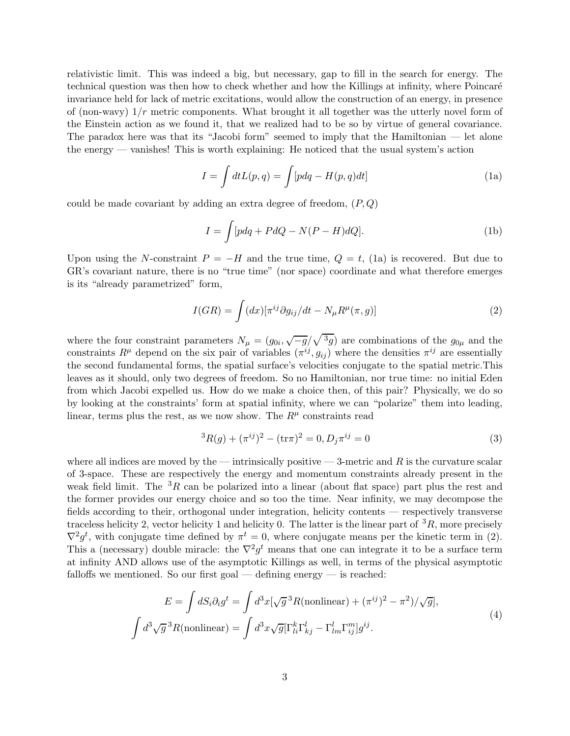relativistic limit. This was indeed a big, but necessary, gap to fill in the search for energy. The technical question was then how to check whether and how the Killings at infinity, where Poincaré invariance held for lack of metric excitations, would allow the construction of an energy, in presence of (non-wavy)  $1/r$  metric components. What brought it all together was the utterly novel form of the Einstein action as we found it, that we realized had to be so by virtue of general covariance. The paradox here was that its "Jacobi form" seemed to imply that the Hamiltonian — let alone the energy — vanishes! This is worth explaining: He noticed that the usual system's action

$$
I = \int dt L(p, q) = \int [pdq - H(p, q)dt]
$$
 (1a)

could be made covariant by adding an extra degree of freedom,  $(P, Q)$ 

$$
I = \int [pdq + PdQ - N(P - H)dQ].
$$
 (1b)

Upon using the N-constraint  $P = -H$  and the true time,  $Q = t$ , (1a) is recovered. But due to GR's covariant nature, there is no "true time" (nor space) coordinate and what therefore emerges is its "already parametrized" form,

$$
I(GR) = \int (dx) [\pi^{ij} \partial g_{ij}/dt - N_{\mu} R^{\mu}(\pi, g)] \tag{2}
$$

where the four constraint parameters  $N_{\mu} = (g_{0i}, \sqrt{-g}/\sqrt{3g})$  are combinations of the  $g_{0\mu}$  and the constraints  $R^{\mu}$  depend on the six pair of variables  $(\pi^{ij}, g_{ij})$  where the densities  $\pi^{ij}$  are essentially the second fundamental forms, the spatial surface's velocities conjugate to the spatial metric.This leaves as it should, only two degrees of freedom. So no Hamiltonian, nor true time: no initial Eden from which Jacobi expelled us. How do we make a choice then, of this pair? Physically, we do so by looking at the constraints' form at spatial infinity, where we can "polarize" them into leading, linear, terms plus the rest, as we now show. The  $R^{\mu}$  constraints read

$$
{}^{3}R(g) + (\pi^{ij})^{2} - (\text{tr}\pi)^{2} = 0, D_{j}\pi^{ij} = 0
$$
\n(3)

where all indices are moved by the — intrinsically positive — 3-metric and  $R$  is the curvature scalar of 3-space. These are respectively the energy and momentum constraints already present in the weak field limit. The  ${}^{3}R$  can be polarized into a linear (about flat space) part plus the rest and the former provides our energy choice and so too the time. Near infinity, we may decompose the fields according to their, orthogonal under integration, helicity contents — respectively transverse traceless helicity 2, vector helicity 1 and helicity 0. The latter is the linear part of  ${}^{3}R$ , more precisely  $\nabla^2 g^t$ , with conjugate time defined by  $\pi^t = 0$ , where conjugate means per the kinetic term in (2). This a (necessary) double miracle: the  $\nabla^2 g^t$  means that one can integrate it to be a surface term at infinity AND allows use of the asymptotic Killings as well, in terms of the physical asymptotic falloffs we mentioned. So our first goal — defining energy — is reached:

$$
E = \int dS_i \partial_i g^t = \int d^3x [\sqrt{g}^3 R(\text{nonlinear}) + (\pi^{ij})^2 - \pi^2) / \sqrt{g}],
$$
  

$$
\int d^3\sqrt{g}^3 R(\text{nonlinear}) = \int d^3x \sqrt{g} [\Gamma_{li}^k \Gamma_{kj}^l - \Gamma_{lm}^l \Gamma_{ij}^m] g^{ij}.
$$
 (4)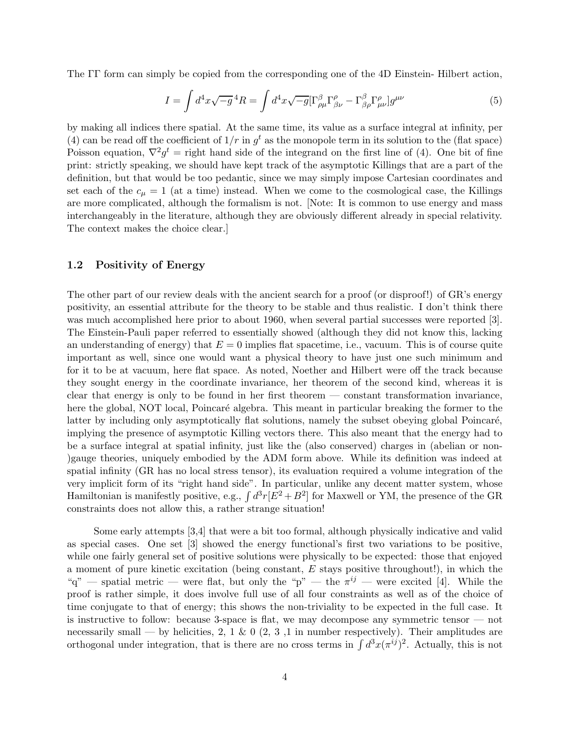The ΓΓ form can simply be copied from the corresponding one of the 4D Einstein- Hilbert action,

$$
I = \int d^4x \sqrt{-g}^4 R = \int d^4x \sqrt{-g} [\Gamma^{\beta}_{\rho\mu} \Gamma^{\rho}_{\beta\nu} - \Gamma^{\beta}_{\beta\rho} \Gamma^{\rho}_{\mu\nu}] g^{\mu\nu}
$$
(5)

by making all indices there spatial. At the same time, its value as a surface integral at infinity, per (4) can be read off the coefficient of  $1/r$  in  $g<sup>t</sup>$  as the monopole term in its solution to the (flat space) Poisson equation,  $\nabla^2 g^t =$  right hand side of the integrand on the first line of (4). One bit of fine print: strictly speaking, we should have kept track of the asymptotic Killings that are a part of the definition, but that would be too pedantic, since we may simply impose Cartesian coordinates and set each of the  $c_{\mu} = 1$  (at a time) instead. When we come to the cosmological case, the Killings are more complicated, although the formalism is not. [Note: It is common to use energy and mass interchangeably in the literature, although they are obviously different already in special relativity. The context makes the choice clear.]

#### 1.2 Positivity of Energy

The other part of our review deals with the ancient search for a proof (or disproof!) of GR's energy positivity, an essential attribute for the theory to be stable and thus realistic. I don't think there was much accomplished here prior to about 1960, when several partial successes were reported [3]. The Einstein-Pauli paper referred to essentially showed (although they did not know this, lacking an understanding of energy) that  $E = 0$  implies flat spacetime, i.e., vacuum. This is of course quite important as well, since one would want a physical theory to have just one such minimum and for it to be at vacuum, here flat space. As noted, Noether and Hilbert were off the track because they sought energy in the coordinate invariance, her theorem of the second kind, whereas it is clear that energy is only to be found in her first theorem — constant transformation invariance, here the global, NOT local, Poincaré algebra. This meant in particular breaking the former to the latter by including only asymptotically flat solutions, namely the subset obeying global Poincaré, implying the presence of asymptotic Killing vectors there. This also meant that the energy had to be a surface integral at spatial infinity, just like the (also conserved) charges in (abelian or non- )gauge theories, uniquely embodied by the ADM form above. While its definition was indeed at spatial infinity (GR has no local stress tensor), its evaluation required a volume integration of the very implicit form of its "right hand side". In particular, unlike any decent matter system, whose Hamiltonian is manifestly positive, e.g.,  $\int d^3r [E^2 + B^2]$  for Maxwell or YM, the presence of the GR constraints does not allow this, a rather strange situation!

Some early attempts [3,4] that were a bit too formal, although physically indicative and valid as special cases. One set [3] showed the energy functional's first two variations to be positive, while one fairly general set of positive solutions were physically to be expected: those that enjoyed a moment of pure kinetic excitation (being constant,  $E$  stays positive throughout!), in which the "q" — spatial metric — were flat, but only the "p" — the  $\pi^{ij}$  — were excited [4]. While the proof is rather simple, it does involve full use of all four constraints as well as of the choice of time conjugate to that of energy; this shows the non-triviality to be expected in the full case. It is instructive to follow: because 3-space is flat, we may decompose any symmetric tensor — not necessarily small — by helicities, 2, 1 & 0 (2, 3, 1 in number respectively). Their amplitudes are orthogonal under integration, that is there are no cross terms in  $\int d^3x (\pi^{ij})^2$ . Actually, this is not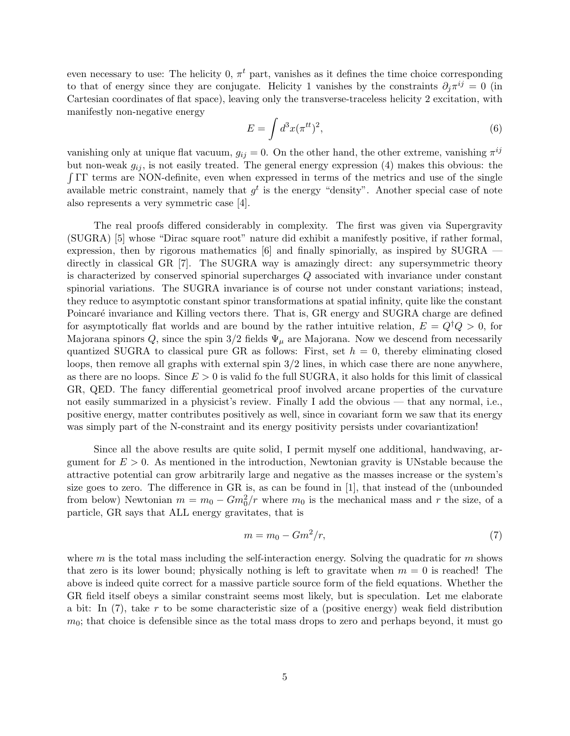even necessary to use: The helicity 0,  $\pi^t$  part, vanishes as it defines the time choice corresponding to that of energy since they are conjugate. Helicity 1 vanishes by the constraints  $\partial_j \pi^{ij} = 0$  (in Cartesian coordinates of flat space), leaving only the transverse-traceless helicity 2 excitation, with manifestly non-negative energy

$$
E = \int d^3x (\pi^{tt})^2,\tag{6}
$$

vanishing only at unique flat vacuum,  $g_{ij} = 0$ . On the other hand, the other extreme, vanishing  $\pi^{ij}$ but non-weak  $g_{ij}$ , is not easily treated. The general energy expression (4) makes this obvious: the R ΓΓ terms are NON-definite, even when expressed in terms of the metrics and use of the single available metric constraint, namely that  $g^t$  is the energy "density". Another special case of note also represents a very symmetric case [4].

The real proofs differed considerably in complexity. The first was given via Supergravity (SUGRA) [5] whose "Dirac square root" nature did exhibit a manifestly positive, if rather formal, expression, then by rigorous mathematics [6] and finally spinorially, as inspired by SUGRA directly in classical GR [7]. The SUGRA way is amazingly direct: any supersymmetric theory is characterized by conserved spinorial supercharges Q associated with invariance under constant spinorial variations. The SUGRA invariance is of course not under constant variations; instead, they reduce to asymptotic constant spinor transformations at spatial infinity, quite like the constant Poincaré invariance and Killing vectors there. That is, GR energy and SUGRA charge are defined for asymptotically flat worlds and are bound by the rather intuitive relation,  $E = Q^{\dagger}Q > 0$ , for Majorana spinors Q, since the spin  $3/2$  fields  $\Psi_{\mu}$  are Majorana. Now we descend from necessarily quantized SUGRA to classical pure GR as follows: First, set  $h = 0$ , thereby eliminating closed loops, then remove all graphs with external spin 3/2 lines, in which case there are none anywhere, as there are no loops. Since  $E > 0$  is valid fo the full SUGRA, it also holds for this limit of classical GR, QED. The fancy differential geometrical proof involved arcane properties of the curvature not easily summarized in a physicist's review. Finally I add the obvious — that any normal, i.e., positive energy, matter contributes positively as well, since in covariant form we saw that its energy was simply part of the N-constraint and its energy positivity persists under covariantization!

Since all the above results are quite solid, I permit myself one additional, handwaving, argument for  $E > 0$ . As mentioned in the introduction, Newtonian gravity is UNstable because the attractive potential can grow arbitrarily large and negative as the masses increase or the system's size goes to zero. The difference in GR is, as can be found in [1], that instead of the (unbounded from below) Newtonian  $m = m_0 - Gm_0^2/r$  where  $m_0$  is the mechanical mass and r the size, of a particle, GR says that ALL energy gravitates, that is

$$
m = m_0 - Gm^2/r,\t\t(7)
$$

where  $m$  is the total mass including the self-interaction energy. Solving the quadratic for  $m$  shows that zero is its lower bound; physically nothing is left to gravitate when  $m = 0$  is reached! The above is indeed quite correct for a massive particle source form of the field equations. Whether the GR field itself obeys a similar constraint seems most likely, but is speculation. Let me elaborate a bit: In  $(7)$ , take r to be some characteristic size of a (positive energy) weak field distribution  $m<sub>0</sub>$ ; that choice is defensible since as the total mass drops to zero and perhaps beyond, it must go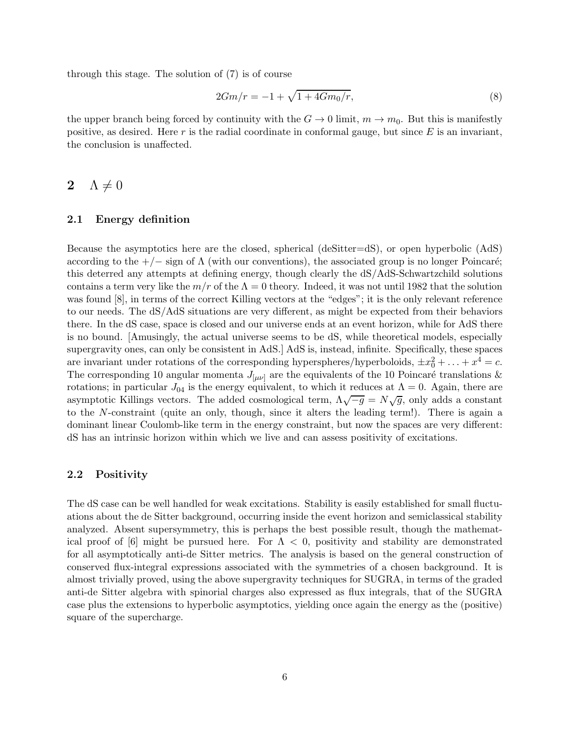through this stage. The solution of (7) is of course

$$
2Gm/r = -1 + \sqrt{1 + 4Gm_0/r},\tag{8}
$$

the upper branch being forced by continuity with the  $G \to 0$  limit,  $m \to m_0$ . But this is manifestly positive, as desired. Here r is the radial coordinate in conformal gauge, but since  $E$  is an invariant, the conclusion is unaffected.

# 2  $\Lambda \neq 0$

#### 2.1 Energy definition

Because the asymptotics here are the closed, spherical (deSitter=dS), or open hyperbolic (AdS) according to the  $+/-$  sign of  $\Lambda$  (with our conventions), the associated group is no longer Poincaré; this deterred any attempts at defining energy, though clearly the dS/AdS-Schwartzchild solutions contains a term very like the  $m/r$  of the  $\Lambda = 0$  theory. Indeed, it was not until 1982 that the solution was found [8], in terms of the correct Killing vectors at the "edges"; it is the only relevant reference to our needs. The dS/AdS situations are very different, as might be expected from their behaviors there. In the dS case, space is closed and our universe ends at an event horizon, while for AdS there is no bound. [Amusingly, the actual universe seems to be dS, while theoretical models, especially supergravity ones, can only be consistent in AdS.] AdS is, instead, infinite. Specifically, these spaces are invariant under rotations of the corresponding hyperspheres/hyperboloids,  $\pm x_0^2 + \ldots + x^4 = c$ . The corresponding 10 angular momenta  $J_{\mu\nu}$  are the equivalents of the 10 Poincaré translations & rotations; in particular  $J_{04}$  is the energy equivalent, to which it reduces at  $\Lambda = 0$ . Again, there are asymptotic Killings vectors. The added cosmological term,  $\Lambda \sqrt{-g} = N \sqrt{g}$ , only adds a constant to the N-constraint (quite an only, though, since it alters the leading term!). There is again a dominant linear Coulomb-like term in the energy constraint, but now the spaces are very different: dS has an intrinsic horizon within which we live and can assess positivity of excitations.

#### 2.2 Positivity

The dS case can be well handled for weak excitations. Stability is easily established for small fluctuations about the de Sitter background, occurring inside the event horizon and semiclassical stability analyzed. Absent supersymmetry, this is perhaps the best possible result, though the mathematical proof of [6] might be pursued here. For  $\Lambda < 0$ , positivity and stability are demonstrated for all asymptotically anti-de Sitter metrics. The analysis is based on the general construction of conserved flux-integral expressions associated with the symmetries of a chosen background. It is almost trivially proved, using the above supergravity techniques for SUGRA, in terms of the graded anti-de Sitter algebra with spinorial charges also expressed as flux integrals, that of the SUGRA case plus the extensions to hyperbolic asymptotics, yielding once again the energy as the (positive) square of the supercharge.